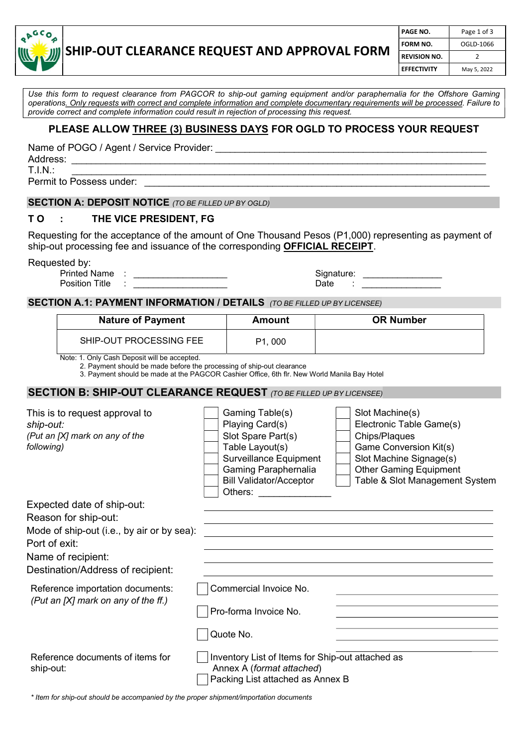

# SHIP-OUT CLEARANCE REQUEST AND APPROVAL FORM

| PAGE NO.            | Page 1 of 3 |  |  |
|---------------------|-------------|--|--|
| FORM NO.            | OGLD-1066   |  |  |
| <b>REVISION NO.</b> | 2           |  |  |
| <b>EFFECTIVITY</b>  | May 5, 2022 |  |  |

Use this form to request clearance from PAGCOR to ship-out gaming equipment and/or paraphernalia for the Offshore Gaming operations. Only requests with correct and complete information and complete documentary requirements will be processed. Failure to provide correct and complete information could result in rejection of processing this request.

### PLEASE ALLOW THREE (3) BUSINESS DAYS FOR OGLD TO PROCESS YOUR REQUEST

Name of POGO / Agent / Service Provider:

Address: \_\_\_\_\_\_\_\_\_\_\_\_\_\_\_\_\_\_\_\_\_\_\_\_\_\_\_\_\_\_\_\_\_\_\_\_\_\_\_\_\_\_\_\_\_\_\_\_\_\_\_\_\_\_\_\_\_\_\_\_\_\_\_\_\_\_\_\_\_\_\_\_\_\_\_\_\_\_\_\_\_\_\_\_

T.I.N.: \_\_\_\_\_\_\_\_\_\_\_\_\_\_\_\_\_\_\_\_\_\_\_\_\_\_\_\_\_\_\_\_\_\_\_\_\_\_\_\_\_\_\_\_\_\_\_\_\_\_\_\_\_\_\_\_\_\_\_\_\_\_\_\_\_\_\_\_\_\_\_\_\_\_\_\_\_\_\_\_\_\_\_\_

Permit to Possess under:

#### SECTION A: DEPOSIT NOTICE (TO BE FILLED UP BY OGLD)

### TO : THE VICE PRESIDENT, FG

Requesting for the acceptance of the amount of One Thousand Pesos (P1,000) representing as payment of ship-out processing fee and issuance of the corresponding **OFFICIAL RECEIPT**.

Requested by:

Printed Name : \_\_\_\_\_\_\_\_\_\_\_\_\_\_\_\_\_\_\_ Signature: \_\_\_\_\_\_\_\_\_\_\_\_\_\_\_\_ Position Title : \_\_\_\_\_\_\_\_\_\_\_\_\_\_\_\_\_\_\_ Date : \_\_\_\_\_\_\_\_\_\_\_\_\_\_\_\_

### SECTION A.1: PAYMENT INFORMATION / DETAILS (TO BE FILLED UP BY LICENSEE)

| <b>Nature of Payment</b> | Amount              | <b>OR Number</b> |
|--------------------------|---------------------|------------------|
| SHIP-OUT PROCESSING FEE  | P <sub>1</sub> .000 |                  |

Note: 1. Only Cash Deposit will be accepted.

2. Payment should be made before the processing of ship-out clearance

3. Payment should be made at the PAGCOR Cashier Office, 6th flr. New World Manila Bay Hotel

#### SECTION B: SHIP-OUT CLEARANCE REQUEST (TO BE FILLED UP BY LICENSEE)

| This is to request approval to<br>ship-out:<br>(Put an [X] mark on any of the<br>following)                                                                                  | Gaming Table(s)<br>Playing Card(s)<br>Slot Spare Part(s)<br>Table Layout(s)<br><b>Surveillance Equipment</b><br>Gaming Paraphernalia<br><b>Bill Validator/Acceptor</b><br>Others: <b>Example 2019</b> | Slot Machine(s)<br>Electronic Table Game(s)<br>Chips/Plaques<br>Game Conversion Kit(s)<br>Slot Machine Signage(s)<br><b>Other Gaming Equipment</b><br>Table & Slot Management System |
|------------------------------------------------------------------------------------------------------------------------------------------------------------------------------|-------------------------------------------------------------------------------------------------------------------------------------------------------------------------------------------------------|--------------------------------------------------------------------------------------------------------------------------------------------------------------------------------------|
| Expected date of ship-out:<br>Reason for ship-out:<br>Mode of ship-out (i.e., by air or by sea):<br>Port of exit:<br>Name of recipient:<br>Destination/Address of recipient: |                                                                                                                                                                                                       |                                                                                                                                                                                      |
| Reference importation documents:<br>(Put an [X] mark on any of the ff.)                                                                                                      | Commercial Invoice No.<br>Pro-forma Invoice No.<br>Quote No.                                                                                                                                          |                                                                                                                                                                                      |
| Reference documents of items for<br>ship-out:                                                                                                                                | Inventory List of Items for Ship-out attached as<br>Annex A (format attached)<br>Packing List attached as Annex B                                                                                     |                                                                                                                                                                                      |

\* Item for ship-out should be accompanied by the proper shipment/importation documents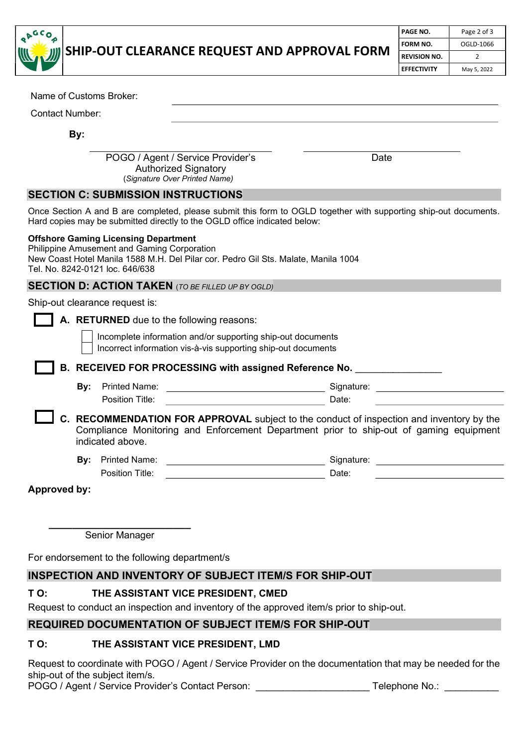

## SHIP-OUT CLEARANCE REQUEST AND APPROVAL FORM

| l PAGE NO.          | Page 2 of 3 |  |  |
|---------------------|-------------|--|--|
| l form no.          | OGLD-1066   |  |  |
| <b>REVISION NO.</b> | ∍           |  |  |
| <b>EFFECTIVITY</b>  | May 5, 2022 |  |  |

| Name of Customs Broker:                                                                                                                                                                                             |  |
|---------------------------------------------------------------------------------------------------------------------------------------------------------------------------------------------------------------------|--|
| <b>Contact Number:</b>                                                                                                                                                                                              |  |
| By:                                                                                                                                                                                                                 |  |
| POGO / Agent / Service Provider's<br>Date<br><b>Authorized Signatory</b><br>(Signature Over Printed Name)                                                                                                           |  |
| <b>SECTION C: SUBMISSION INSTRUCTIONS</b>                                                                                                                                                                           |  |
| Once Section A and B are completed, please submit this form to OGLD together with supporting ship-out documents.<br>Hard copies may be submitted directly to the OGLD office indicated below:                       |  |
| <b>Offshore Gaming Licensing Department</b><br>Philippine Amusement and Gaming Corporation<br>New Coast Hotel Manila 1588 M.H. Del Pilar cor. Pedro Gil Sts. Malate, Manila 1004<br>Tel. No. 8242-0121 loc. 646/638 |  |
| <b>SECTION D: ACTION TAKEN</b> (TO BE FILLED UP BY OGLD)                                                                                                                                                            |  |
| Ship-out clearance request is:                                                                                                                                                                                      |  |
| A. RETURNED due to the following reasons:                                                                                                                                                                           |  |
| Incomplete information and/or supporting ship-out documents<br>Incorrect information vis-à-vis supporting ship-out documents                                                                                        |  |
| B. RECEIVED FOR PROCESSING with assigned Reference No.                                                                                                                                                              |  |
| Printed Name:<br>Signature:<br>By:<br><u> 1989 - Johann Barbara, martin a</u>                                                                                                                                       |  |
| Position Title:<br>Date:                                                                                                                                                                                            |  |
| C. RECOMMENDATION FOR APPROVAL subject to the conduct of inspection and inventory by the<br>Compliance Monitoring and Enforcement Department prior to ship-out of gaming equipment<br>indicated above.              |  |
| <b>Printed Name:</b><br>Signature:<br>By:<br><u> 1989 - Johann Barbara, martxa</u>                                                                                                                                  |  |
| Position Title:<br>Date:                                                                                                                                                                                            |  |
| <b>Approved by:</b>                                                                                                                                                                                                 |  |
|                                                                                                                                                                                                                     |  |
|                                                                                                                                                                                                                     |  |
| Senior Manager                                                                                                                                                                                                      |  |
| For endorsement to the following department/s                                                                                                                                                                       |  |
| INSPECTION AND INVENTORY OF SUBJECT ITEM/S FOR SHIP-OUT                                                                                                                                                             |  |
| TO:<br>THE ASSISTANT VICE PRESIDENT, CMED                                                                                                                                                                           |  |

Request to conduct an inspection and inventory of the approved item/s prior to ship-out.

### REQUIRED DOCUMENTATION OF SUBJECT ITEM/S FOR SHIP-OUT

### T O: THE ASSISTANT VICE PRESIDENT, LMD

Request to coordinate with POGO / Agent / Service Provider on the documentation that may be needed for the ship-out of the subject item/s.

POGO / Agent / Service Provider's Contact Person: \_\_\_\_\_\_\_\_\_\_\_\_\_\_\_\_\_\_\_\_\_\_\_\_\_\_\_\_\_\_Telephone No.: \_\_\_\_\_\_\_\_\_\_